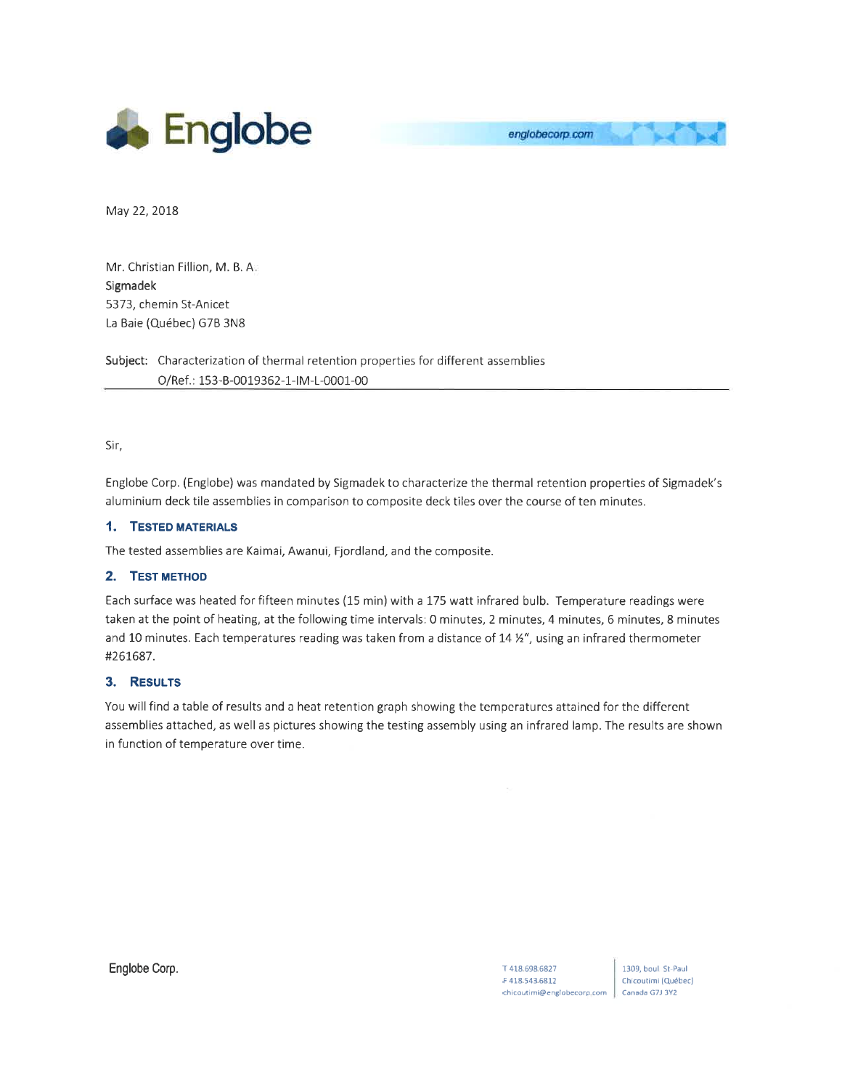



May 22, 2018

Mr. Christian Fillion, M. B. <sup>A</sup> Sigmadek 5373, chemin St-Anicet La Baie (Québec) G7B 3N8

Subject: Characterization of thermal retention properties for different assemblies O/Ref.: 153-B-0019362-1-IM-L-0001-00

Sir,

Englobe Corp. (Englobe) was mandated by Sigmadek to characterize the thermal retention properties of Sigmadek's aluminium deck tile assemblies in comparison to composite deck tiles over the course of ten minutes.

## 1. TESTED MATERIALS

The tested assemblies are Kaimai, Awanui, Fjordland, and the composite.

## 2. TEST METHOD

Each surface was heated for fifteen minutes (15 min) with a 175 watt infrared bulb. Temperature readings were taken at the point of heating, at the following time intervals: 0 minutes, 2 minutes, 4 minutes, 6 minutes, 8 minutes and 10 minutes. Each temperatures reading was taken from a distance of 14 %", using an infrared thermometer #261687.

## 3. Resulrs

You will find a table of results and a heat retention graph showing the tempcraturcs attaincd for thc diffcrcnt assemblies attached, as well as pictures showing the testing assembly using an infrared lamp. The results are shown in function of temperature over time.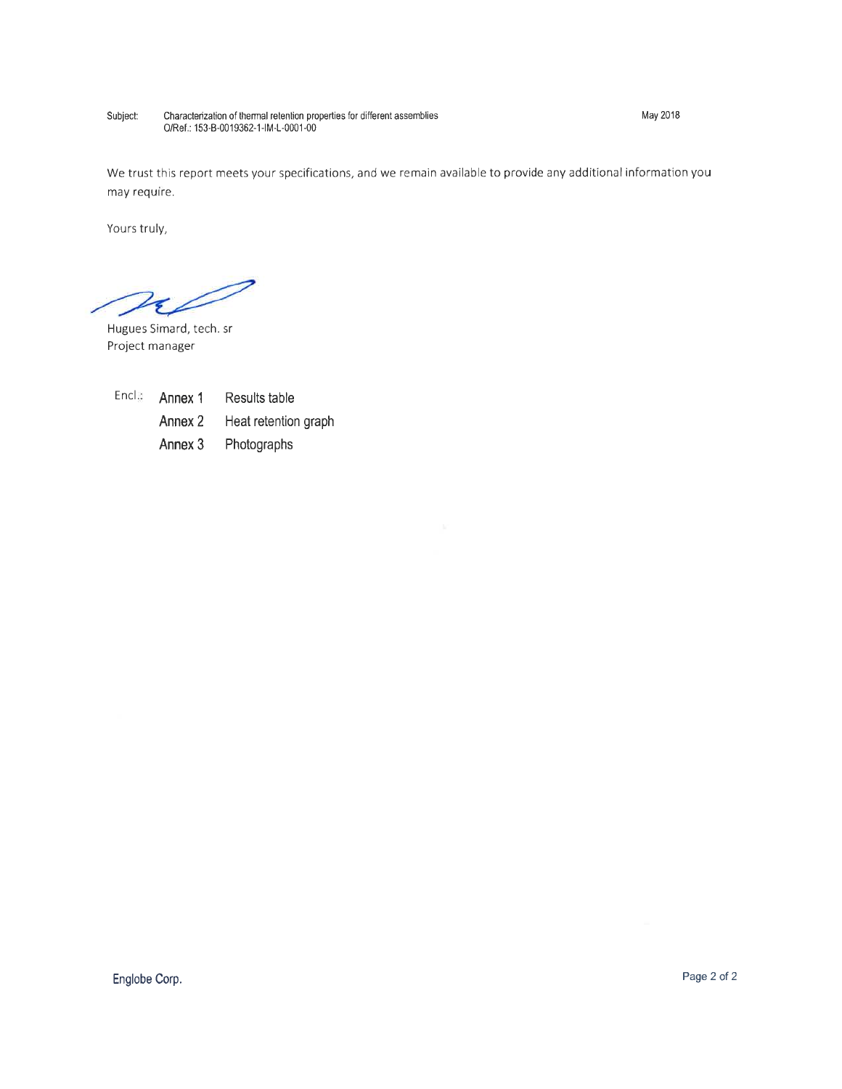Subject: Characterization of thermal retention properties for different assemblies<br>O/Ref.: 153-B-0019362-1-IM-L-0001-00

May 2018

We trust this report meets your specifications, and we remain available to provide any additional information you may require.

Yours truly,

 $\approx$ 

Hugues Simard, tech. sr Project manager

Encl<sub>e</sub> Annex 1 Results table

> Annex 2 Heat retention graph

Annex 3 Photographs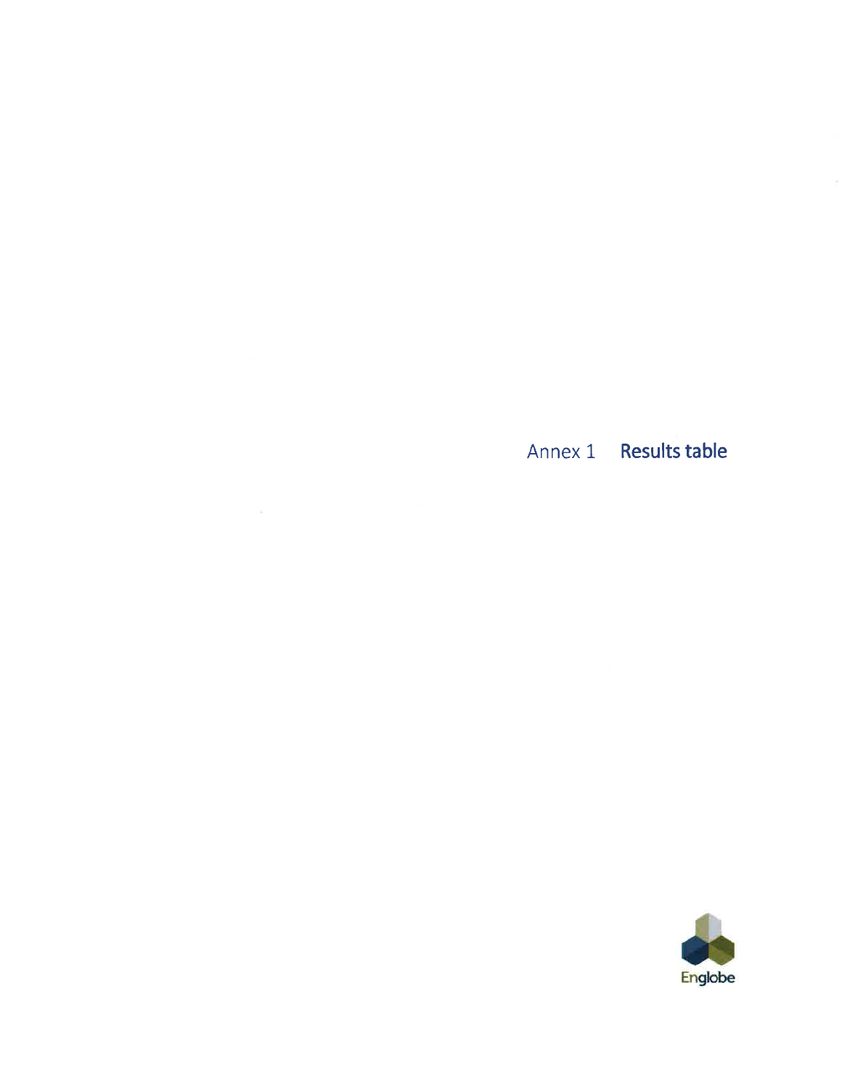Annex 1 Results table

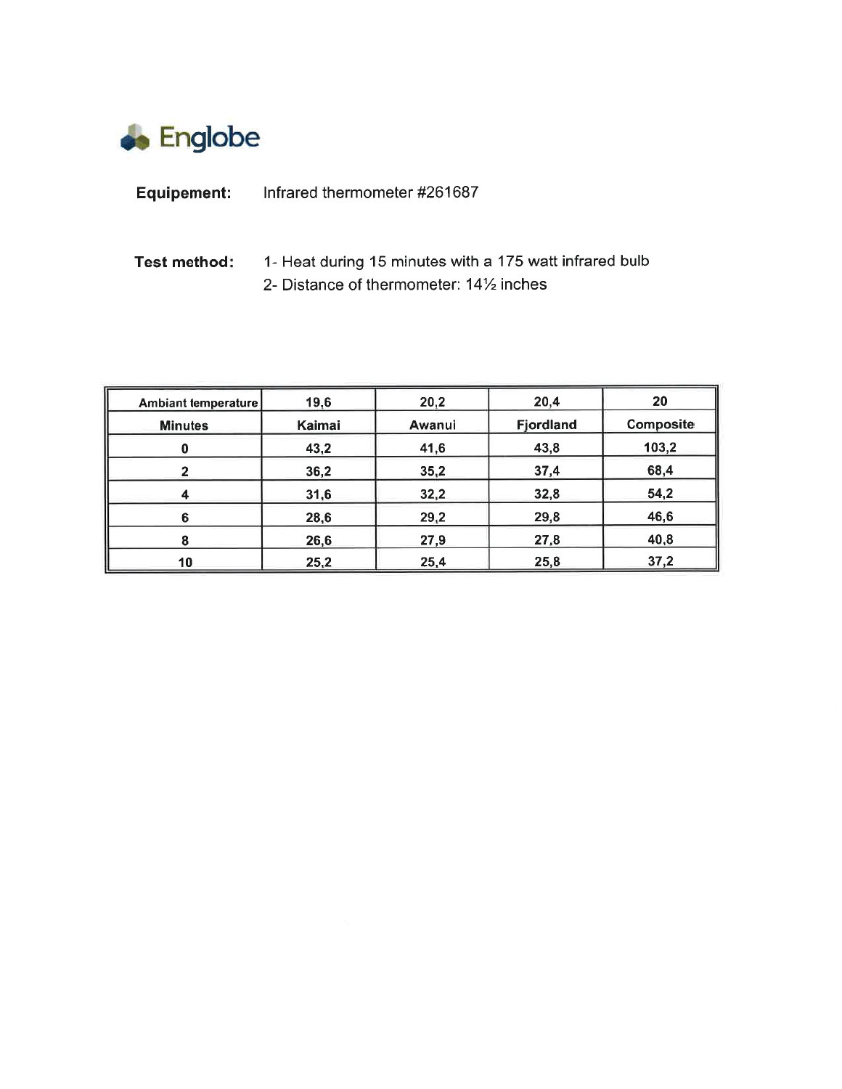

| <b>Equipement:</b> | Infrared thermometer #261687 |
|--------------------|------------------------------|
|--------------------|------------------------------|

## **Test method:** 1- Heat during 15 minutes with a 175 watt infrared bulb 2- Distance of thermometer:  $14\frac{1}{2}$  inches

| Ambiant temperature | 19,6   | 20,2   | 20,4      | 20        |
|---------------------|--------|--------|-----------|-----------|
| <b>Minutes</b>      | Kaimai | Awanui | Fjordland | Composite |
| 0                   | 43,2   | 41,6   | 43,8      | 103,2     |
| 2                   | 36,2   | 35,2   | 37,4      | 68,4      |
| 4                   | 31,6   | 32,2   | 32,8      | 54,2      |
| 6                   | 28,6   | 29,2   | 29,8      | 46,6      |
| 8                   | 26,6   | 27,9   | 27,8      | 40,8      |
| 10                  | 25,2   | 25,4   | 25,8      | 37,2      |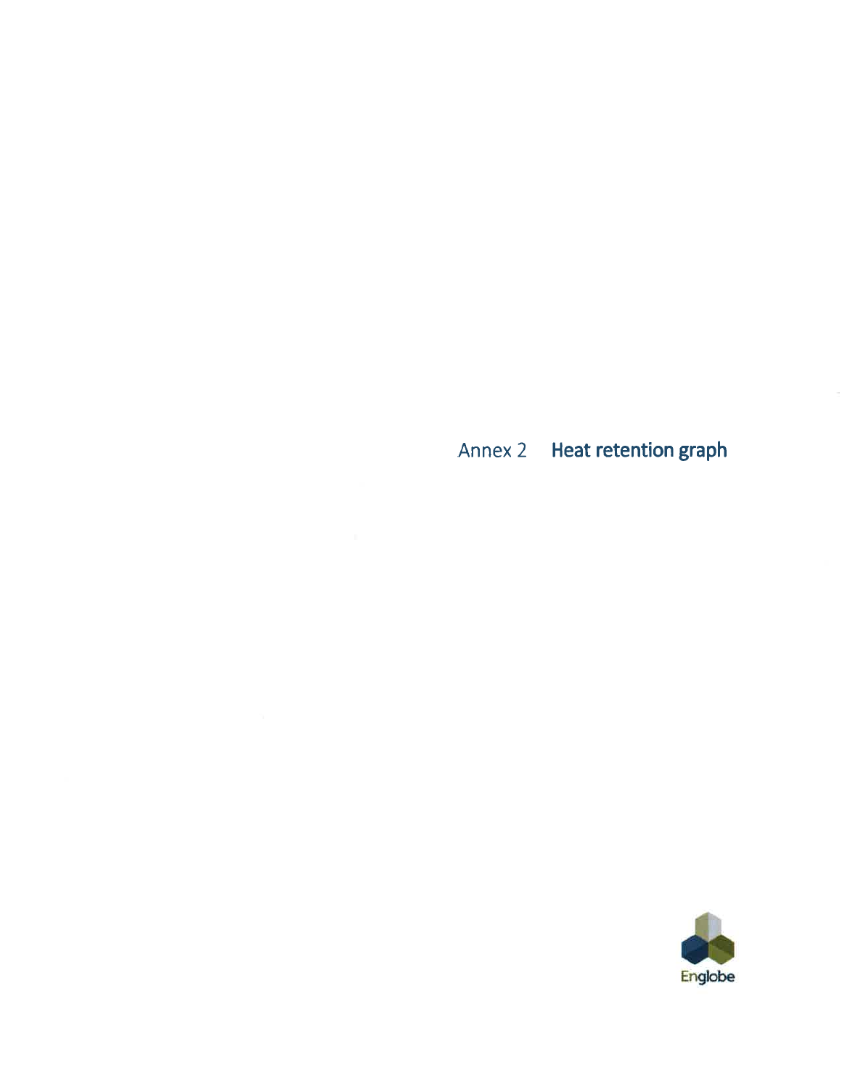Annex 2 Heat retention graph

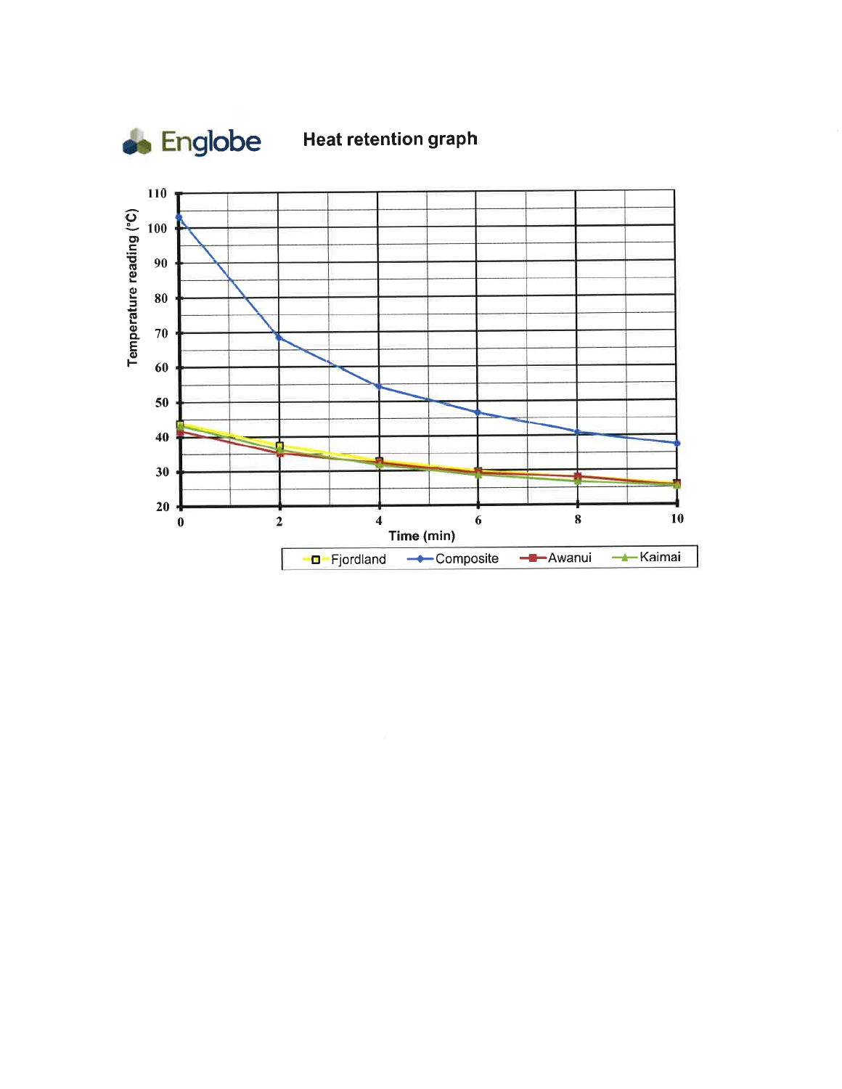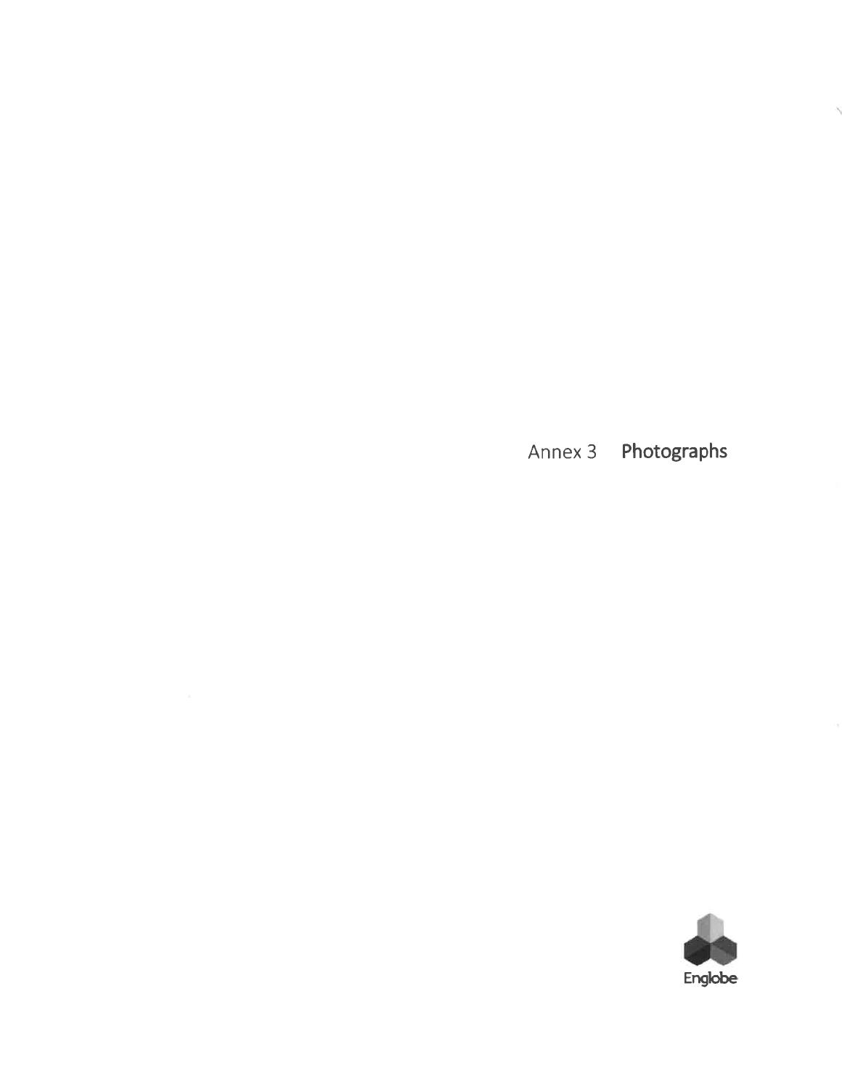Annex 3 Photographs

Ń

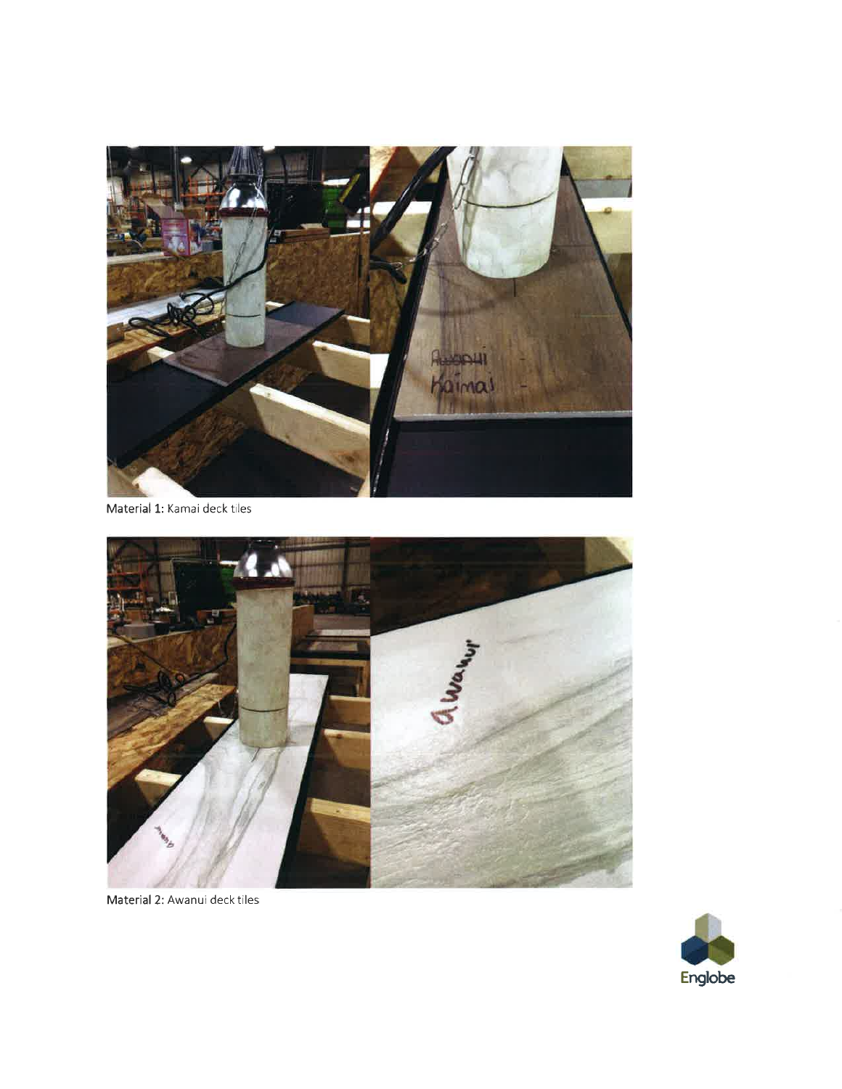

Material 1: Kamai deck tiles